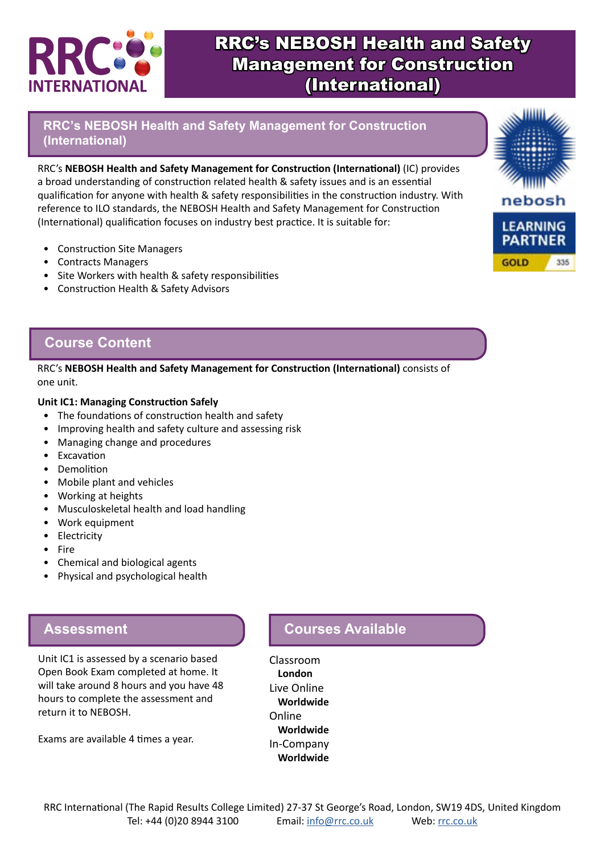

# RRC's NEBOSH Health and Safety Management for Construction (International)

**RRC's NEBOSH Health and Safety Management for Construction (International)**

RRC's **NEBOSH Health and Safety Management for Construction (International)** (IC) provides a broad understanding of construction related health & safety issues and is an essential qualification for anyone with health & safety responsibilities in the construction industry. With reference to ILO standards, the NEBOSH Health and Safety Management for Construction (International) qualification focuses on industry best practice. It is suitable for:

- Construction Site Managers
- Contracts Managers
- Site Workers with health & safety responsibilities
- Construction Health & Safety Advisors

# **Course Content**

RRC's **NEBOSH Health and Safety Management for Construction (International)** consists of one unit.

#### **Unit IC1: Managing Construction Safely**

- The foundations of construction health and safety
- Improving health and safety culture and assessing risk
- Managing change and procedures
- Excavation
- Demolition
- Mobile plant and vehicles
- Working at heights
- Musculoskeletal health and load handling
- Work equipment
- Electricity
- Fire
- Chemical and biological agents
- Physical and psychological health

#### **Assessment**

Unit IC1 is assessed by a scenario based Open Book Exam completed at home. It will take around 8 hours and you have 48 hours to complete the assessment and return it to NEBOSH.

Exams are available 4 times a year.

# **Courses Available**

Classroom **London** Live Online **Worldwide** Online **Worldwide** In-Company **Worldwide**

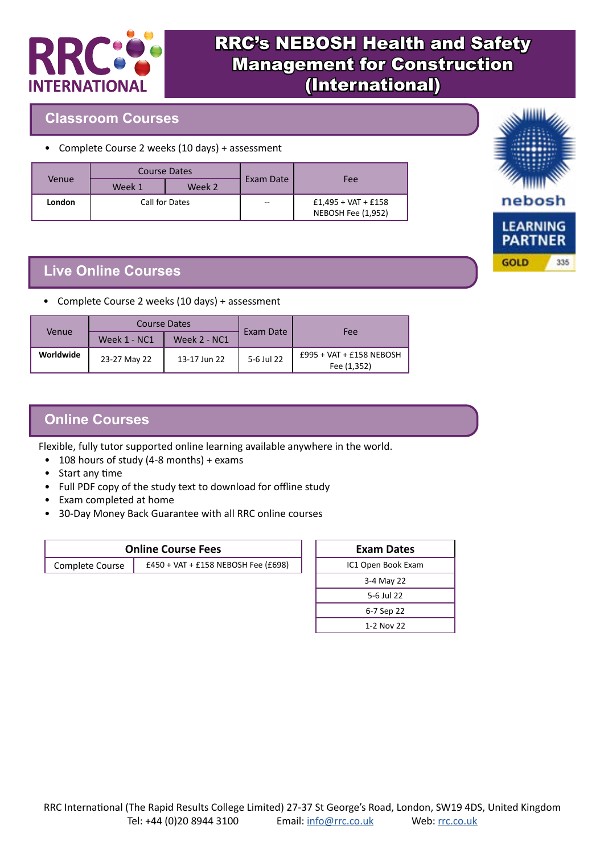

# RRC's NEBOSH Health and Safety Management for Construction (International)

### **Classroom Courses**

• Complete Course 2 weeks (10 days) + assessment

|        | <b>Course Dates</b> |        |           |                                             |
|--------|---------------------|--------|-----------|---------------------------------------------|
| Venue  | Week 1              | Week 2 | Exam Date | Fee                                         |
| London | Call for Dates      |        | $-$       | $£1,495 + VAT + £158$<br>NEBOSH Fee (1,952) |

### **Live Online Courses**

• Complete Course 2 weeks (10 days) + assessment

| Venue     | Course Dates |                     |            |                                         |
|-----------|--------------|---------------------|------------|-----------------------------------------|
|           | Week 1 - NC1 | <b>Week 2 - NC1</b> | Exam Date  | Fee                                     |
| Worldwide | 23-27 May 22 | 13-17 Jun 22        | 5-6 Jul 22 | £995 + VAT + £158 NEBOSH<br>Fee (1,352) |

## **Online Courses**

Flexible, fully tutor supported online learning available anywhere in the world.

- 108 hours of study (4-8 months) + exams
- Start any time
- Full PDF copy of the study text to download for offline study
- Exam completed at home
- 30-Day Money Back Guarantee with all RRC online courses

| <b>Online Course Fees</b> |                                     |  |
|---------------------------|-------------------------------------|--|
| Complete Course           | £450 + VAT + £158 NEBOSH Fee (£698) |  |

| <b>Exam Dates</b>  |  |  |
|--------------------|--|--|
| IC1 Open Book Exam |  |  |
| 3-4 May 22         |  |  |
| 5-6 Jul 22         |  |  |
| 6-7 Sep 22         |  |  |
| 1-2 Nov 22         |  |  |